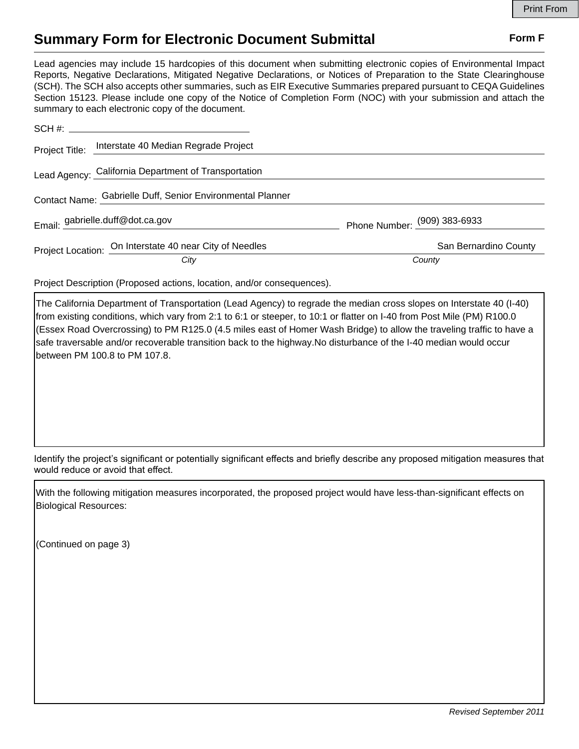## **Summary Form for Electronic Document Submittal Form F Form F**

Lead agencies may include 15 hardcopies of this document when submitting electronic copies of Environmental Impact Reports, Negative Declarations, Mitigated Negative Declarations, or Notices of Preparation to the State Clearinghouse (SCH). The SCH also accepts other summaries, such as EIR Executive Summaries prepared pursuant to CEQA Guidelines Section 15123. Please include one copy of the Notice of Completion Form (NOC) with your submission and attach the summary to each electronic copy of the document.

|  | Project Title: Interstate 40 Median Regrade Project        |                              |
|--|------------------------------------------------------------|------------------------------|
|  | Lead Agency: California Department of Transportation       |                              |
|  | Contact Name: Gabrielle Duff, Senior Environmental Planner |                              |
|  | Email: gabrielle.duff@dot.ca.gov                           | Phone Number: (909) 383-6933 |
|  | Project Location: On Interstate 40 near City of Needles    | San Bernardino County        |
|  | City                                                       | County                       |

Project Description (Proposed actions, location, and/or consequences).

The California Department of Transportation (Lead Agency) to regrade the median cross slopes on Interstate 40 (I-40) from existing conditions, which vary from 2:1 to 6:1 or steeper, to 10:1 or flatter on I-40 from Post Mile (PM) R100.0 (Essex Road Overcrossing) to PM R125.0 (4.5 miles east of Homer Wash Bridge) to allow the traveling traffic to have a safe traversable and/or recoverable transition back to the highway.No disturbance of the I-40 median would occur between PM 100.8 to PM 107.8.

Identify the project's significant or potentially significant effects and briefly describe any proposed mitigation measures that would reduce or avoid that effect.

With the following mitigation measures incorporated, the proposed project would have less-than-significant effects on Biological Resources:

(Continued on page 3)